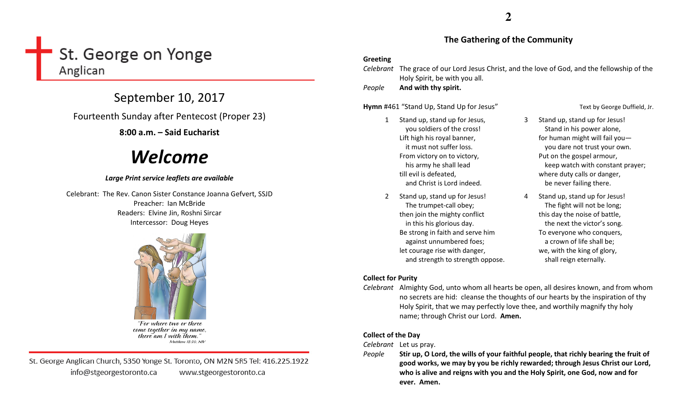## St. George on Yonge Anglican

## September 10, 2017

Fourteenth Sunday after Pentecost (Proper 23)

8:00 a.m. – Said Eucharist

# Welcome

#### Large Print service leaflets are available

Celebrant: The Rev. Canon Sister Constance Joanna Gefvert, SSJD Preacher: Ian McBride Readers: Elvine Jin, Roshni Sircar Intercessor: Doug Heyes



"For where two or three come together in my name, there am I with them." Matthew 18:20, NIV

St. George Anglican Church, 5350 Yonge St. Toronto, ON M2N 5R5 Tel: 416.225.1922 info@stgeorgestoronto.ca www.stgeorgestoronto.ca

### **2**

#### The Gathering of the Community

#### Greeting

Celebrant The grace of our Lord Jesus Christ, and the love of God, and the fellowship of the Holy Spirit, be with you all.

PeopleAnd with thy spirit.

Hymn #461 "Stand Up, Stand Up for Jesus" Text by George Duffield, Jr.

#### 1 Stand up, stand up for Jesus, you soldiers of the cross! Lift high his royal banner, it must not suffer loss. From victory on to victory, his army he shall lead till evil is defeated, and Christ is Lord indeed.

2 Stand up, stand up for Jesus! The trumpet-call obey; then join the mighty conflict in this his glorious day. Be strong in faith and serve him against unnumbered foes; let courage rise with danger, and strength to strength oppose.

- 3 Stand up, stand up for Jesus! Stand in his power alone, for human might will fail you you dare not trust your own. Put on the gospel armour, keep watch with constant prayer; where duty calls or danger, be never failing there.
- 4 Stand up, stand up for Jesus! The fight will not be long; this day the noise of battle, the next the victor's song. To everyone who conquers, a crown of life shall be; we, with the king of glory, shall reign eternally.

#### Collect for Purity

Celebrant Almighty God, unto whom all hearts be open, all desires known, and from whom no secrets are hid: cleanse the thoughts of our hearts by the inspiration of thy Holy Spirit, that we may perfectly love thee, and worthily magnify thy holy name; through Christ our Lord. Amen.

#### Collect of the Day

Celebrant Let us pray.

People Stir up, O Lord, the wills of your faithful people, that richly bearing the fruit of good works, we may by you be richly rewarded; through Jesus Christ our Lord, who is alive and reigns with you and the Holy Spirit, one God, now and for ever. Amen.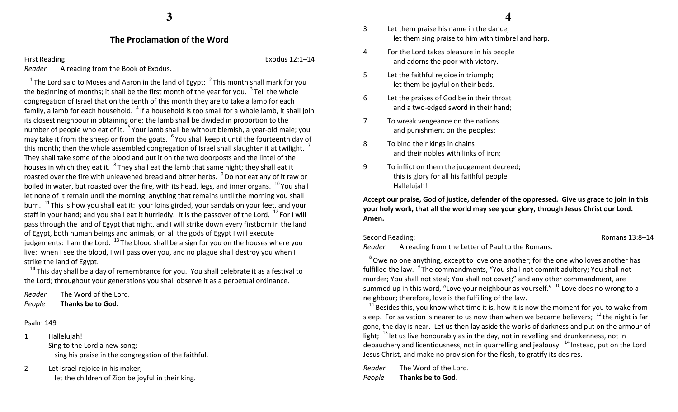#### The Proclamation of the Word

First Reading: Exodus 12:1–14

Reader A reading from the Book of Exodus.

<sup>1</sup>The Lord said to Moses and Aaron in the land of Egypt:  $<sup>2</sup>$ This month shall mark for you</sup> the beginning of months; it shall be the first month of the year for you.  $3$  Tell the whole congregation of Israel that on the tenth of this month they are to take a lamb for each family, a lamb for each household.  $4$  If a household is too small for a whole lamb, it shall join its closest neighbour in obtaining one; the lamb shall be divided in proportion to the number of people who eat of it. <sup>5</sup> Your lamb shall be without blemish, a year-old male; you may take it from the sheep or from the goats. <sup>6</sup> You shall keep it until the fourteenth day of this month; then the whole assembled congregation of Israel shall slaughter it at twilight.  $\frac{7}{1}$ They shall take some of the blood and put it on the two doorposts and the lintel of the houses in which they eat it. <sup>8</sup>They shall eat the lamb that same night; they shall eat it roasted over the fire with unleavened bread and bitter herbs.  $\,^9$  Do not eat any of it raw or boiled in water, but roasted over the fire, with its head, legs, and inner organs.  $^{10}$  You shall let none of it remain until the morning; anything that remains until the morning you shall burn.  $^{11}$ This is how you shall eat it: your loins girded, your sandals on your feet, and your staff in your hand; and you shall eat it hurriedly. It is the passover of the Lord.  $^{12}$  For I will pass through the land of Egypt that night, and I will strike down every firstborn in the land of Egypt, both human beings and animals; on all the gods of Egypt I will execute judgements: I am the Lord.  $^{13}$  The blood shall be a sign for you on the houses where you live: when I see the blood, I will pass over you, and no plague shall destroy you when I strike the land of Egypt.

 $14$ This day shall be a day of remembrance for you. You shall celebrate it as a festival to the Lord; throughout your generations you shall observe it as a perpetual ordinance.

Reader The Word of the Lord. PeopleThanks be to God.

#### Psalm 149

- 1 Hallelujah! Sing to the Lord a new song; sing his praise in the congregation of the faithful.
- 2 Let Israel rejoice in his maker; let the children of Zion be joyful in their king.
- 3 Let them praise his name in the dance; let them sing praise to him with timbrel and harp.
- 4 For the Lord takes pleasure in his people and adorns the poor with victory.
- 5 Let the faithful rejoice in triumph; let them be joyful on their beds.
- 6 Let the praises of God be in their throat and a two-edged sword in their hand;
- 7 To wreak vengeance on the nations and punishment on the peoples;
- 8 To bind their kings in chains and their nobles with links of iron;
- 9 To inflict on them the judgement decreed; this is glory for all his faithful people. Hallelujah!

Accept our praise, God of justice, defender of the oppressed. Give us grace to join in this your holy work, that all the world may see your glory, through Jesus Christ our Lord. Amen.

Second Reading: The Contract of the Contract of the Contract of the Romans 13:8–14

Reader A reading from the Letter of Paul to the Romans.

 $8$  Owe no one anything, except to love one another; for the one who loves another has fulfilled the law. <sup>9</sup>The commandments, "You shall not commit adultery; You shall not murder; You shall not steal; You shall not covet;" and any other commandment, are summed up in this word, "Love your neighbour as yourself."  $10$  Love does no wrong to a neighbour; therefore, love is the fulfilling of the law.

 $^{11}$  Besides this, you know what time it is, how it is now the moment for you to wake from sleep. For salvation is nearer to us now than when we became believers;  $^{12}$  the night is far gone, the day is near. Let us then lay aside the works of darkness and put on the armour of light;  $13$  let us live honourably as in the day, not in revelling and drunkenness, not in debauchery and licentiousness, not in quarrelling and jealousy. <sup>14</sup> Instead, put on the Lord Jesus Christ, and make no provision for the flesh, to gratify its desires.

Reader The Word of the Lord. PeopleThanks be to God.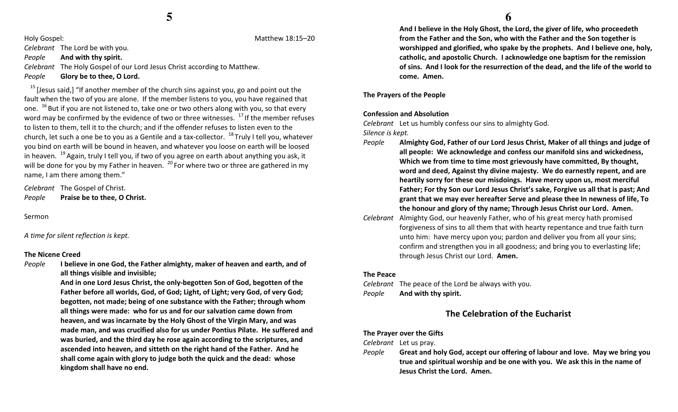Holy Gospel: Matthew 18:15–20

Celebrant The Lord be with you.

#### PeopleAnd with thy spirit.

Celebrant The Holy Gospel of our Lord Jesus Christ according to Matthew. PeopleGlory be to thee, O Lord.

 $15$  [Jesus said,] "If another member of the church sins against you, go and point out the fault when the two of you are alone. If the member listens to you, you have regained that one.  $^{16}$  But if you are not listened to, take one or two others along with you, so that every word may be confirmed by the evidence of two or three witnesses.  $^{17}$  If the member refuses to listen to them, tell it to the church; and if the offender refuses to listen even to the church, let such a one be to you as a Gentile and a tax-collector.  $^{18}$  Truly I tell you, whatever you bind on earth will be bound in heaven, and whatever you loose on earth will be loosed in heaven.  $19$  Again, truly I tell you, if two of you agree on earth about anything you ask, it will be done for you by my Father in heaven.  $^{20}$  For where two or three are gathered in my name, I am there among them."

Celebrant The Gospel of Christ. PeoplePraise be to thee, O Christ.

Sermon

A time for silent reflection is kept.

#### The Nicene Creed

People I believe in one God, the Father almighty, maker of heaven and earth, and of all things visible and invisible;

> And in one Lord Jesus Christ, the only-begotten Son of God, begotten of the Father before all worlds, God, of God; Light, of Light; very God, of very God; begotten, not made; being of one substance with the Father; through whom all things were made: who for us and for our salvation came down from heaven, and was incarnate by the Holy Ghost of the Virgin Mary, and was made man, and was crucified also for us under Pontius Pilate. He suffered and was buried, and the third day he rose again according to the scriptures, and ascended into heaven, and sitteth on the right hand of the Father. And he shall come again with glory to judge both the quick and the dead: whose kingdom shall have no end.

 And I believe in the Holy Ghost, the Lord, the giver of life, who proceedeth from the Father and the Son, who with the Father and the Son together is worshipped and glorified, who spake by the prophets. And I believe one, holy, catholic, and apostolic Church. I acknowledge one baptism for the remission of sins. And I look for the resurrection of the dead, and the life of the world to come. Amen.

The Prayers of the People

#### Confession and Absolution

Celebrant Let us humbly confess our sins to almighty God. Silence is kept.

- People Almighty God, Father of our Lord Jesus Christ, Maker of all things and judge of all people: We acknowledge and confess our manifold sins and wickedness, Which we from time to time most grievously have committed, By thought, word and deed, Against thy divine majesty. We do earnestly repent, and are heartily sorry for these our misdoings. Have mercy upon us, most merciful Father; For thy Son our Lord Jesus Christ's sake, Forgive us all that is past; And grant that we may ever hereafter Serve and please thee In newness of life, To the honour and glory of thy name; Through Jesus Christ our Lord. Amen.
- Celebrant Almighty God, our heavenly Father, who of his great mercy hath promised forgiveness of sins to all them that with hearty repentance and true faith turn unto him: have mercy upon you; pardon and deliver you from all your sins; confirm and strengthen you in all goodness; and bring you to everlasting life; through Jesus Christ our Lord. Amen.

#### The Peace

Celebrant The peace of the Lord be always with you. PeopleAnd with thy spirit.

### The Celebration of the Eucharist

#### The Prayer over the Gifts

Celebrant Let us pray.

People Great and holy God, accept our offering of labour and love. May we bring you true and spiritual worship and be one with you. We ask this in the name of Jesus Christ the Lord. Amen.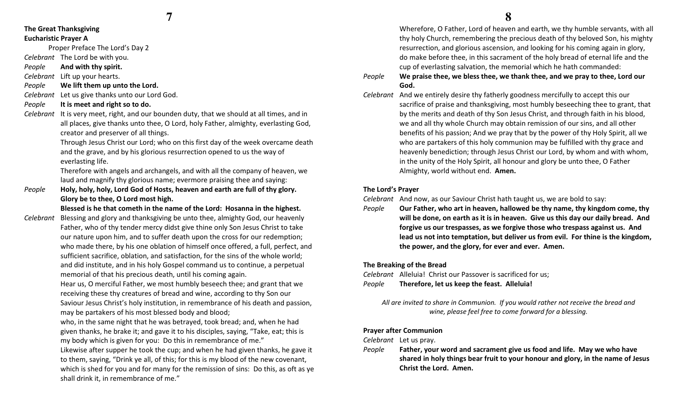#### The Great Thanksgiving Eucharistic Prayer A

Proper Preface The Lord's Day 2

Celebrant The Lord be with you.

PeopleAnd with thy spirit.

Celebrant Lift up your hearts.

- PeopleWe lift them up unto the Lord.
- Celebrant Let us give thanks unto our Lord God.
- PeopleIt is meet and right so to do.
- Celebrant It is very meet, right, and our bounden duty, that we should at all times, and in all places, give thanks unto thee, O Lord, holy Father, almighty, everlasting God, creator and preserver of all things.

Through Jesus Christ our Lord; who on this first day of the week overcame death and the grave, and by his glorious resurrection opened to us the way of everlasting life.

Therefore with angels and archangels, and with all the company of heaven, we laud and magnify thy glorious name; evermore praising thee and saying:

People Holy, holy, holy, Lord God of Hosts, heaven and earth are full of thy glory. Glory be to thee, O Lord most high.

Blessed is he that cometh in the name of the Lord: Hosanna in the highest.

Celebrant Blessing and glory and thanksgiving be unto thee, almighty God, our heavenly Father, who of thy tender mercy didst give thine only Son Jesus Christ to take our nature upon him, and to suffer death upon the cross for our redemption; who made there, by his one oblation of himself once offered, a full, perfect, and sufficient sacrifice, oblation, and satisfaction, for the sins of the whole world; and did institute, and in his holy Gospel command us to continue, a perpetual memorial of that his precious death, until his coming again.

> Hear us, O merciful Father, we most humbly beseech thee; and grant that we receiving these thy creatures of bread and wine, according to thy Son our Saviour Jesus Christ's holy institution, in remembrance of his death and passion, may be partakers of his most blessed body and blood;

- who, in the same night that he was betrayed, took bread; and, when he had given thanks, he brake it; and gave it to his disciples, saying, "Take, eat; this is my body which is given for you: Do this in remembrance of me."
- Likewise after supper he took the cup; and when he had given thanks, he gave it to them, saying, "Drink ye all, of this; for this is my blood of the new covenant, which is shed for you and for many for the remission of sins: Do this, as oft as ye shall drink it, in remembrance of me."

 Wherefore, O Father, Lord of heaven and earth, we thy humble servants, with all thy holy Church, remembering the precious death of thy beloved Son, his mighty resurrection, and glorious ascension, and looking for his coming again in glory, do make before thee, in this sacrament of the holy bread of eternal life and the cup of everlasting salvation, the memorial which he hath commanded:

- People We praise thee, we bless thee, we thank thee, and we pray to thee, Lord our God.
- Celebrant And we entirely desire thy fatherly goodness mercifully to accept this our sacrifice of praise and thanksgiving, most humbly beseeching thee to grant, that by the merits and death of thy Son Jesus Christ, and through faith in his blood, we and all thy whole Church may obtain remission of our sins, and all other benefits of his passion; And we pray that by the power of thy Holy Spirit, all we who are partakers of this holy communion may be fulfilled with thy grace and heavenly benediction; through Jesus Christ our Lord, by whom and with whom, in the unity of the Holy Spirit, all honour and glory be unto thee, O Father Almighty, world without end. Amen.

#### The Lord's Prayer

Celebrant And now, as our Saviour Christ hath taught us, we are bold to say:

People Our Father, who art in heaven, hallowed be thy name, thy kingdom come, thy will be done, on earth as it is in heaven. Give us this day our daily bread. And forgive us our trespasses, as we forgive those who trespass against us. And lead us not into temptation, but deliver us from evil. For thine is the kingdom, the power, and the glory, for ever and ever. Amen.

#### The Breaking of the Bread

Celebrant Alleluia! Christ our Passover is sacrificed for us; PeopleTherefore, let us keep the feast. Alleluia!

All are invited to share in Communion. If you would rather not receive the bread and wine, please feel free to come forward for a blessing.

#### Prayer after Communion

Celebrant Let us pray.

People Father, your word and sacrament give us food and life. May we who have shared in holy things bear fruit to your honour and glory, in the name of Jesus Christ the Lord. Amen.